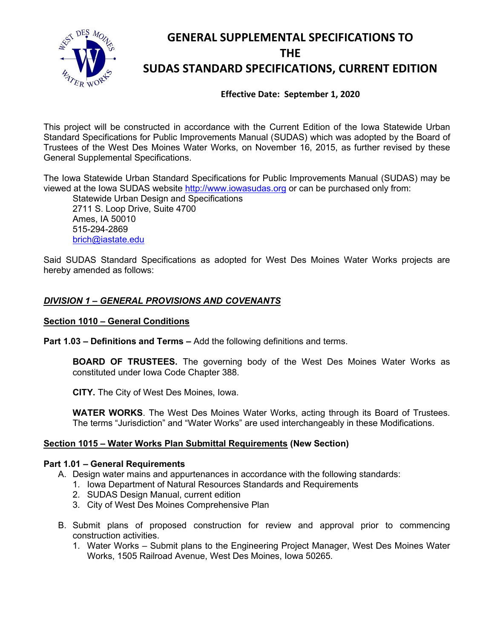

# **GENERAL SUPPLEMENTAL SPECIFICATIONS TO THE SUDAS STANDARD SPECIFICATIONS, CURRENT EDITION**

**Effective Date: September 1, 2020**

This project will be constructed in accordance with the Current Edition of the Iowa Statewide Urban Standard Specifications for Public Improvements Manual (SUDAS) which was adopted by the Board of Trustees of the West Des Moines Water Works, on November 16, 2015, as further revised by these General Supplemental Specifications.

The Iowa Statewide Urban Standard Specifications for Public Improvements Manual (SUDAS) may be viewed at the Iowa SUDAS website [http://www.iowasudas.org](http://www.iowasudas.org/) or can be purchased only from:

Statewide Urban Design and Specifications 2711 S. Loop Drive, Suite 4700 Ames, IA 50010 515-294-2869 [brich@iastate.edu](mailto:brich@iastate.edu)

Said SUDAS Standard Specifications as adopted for West Des Moines Water Works projects are hereby amended as follows:

# *DIVISION 1 – GENERAL PROVISIONS AND COVENANTS*

### **Section 1010 – General Conditions**

**Part 1.03 – Definitions and Terms –** Add the following definitions and terms.

**BOARD OF TRUSTEES.** The governing body of the West Des Moines Water Works as constituted under Iowa Code Chapter 388.

**CITY.** The City of West Des Moines, Iowa.

**WATER WORKS**. The West Des Moines Water Works, acting through its Board of Trustees. The terms "Jurisdiction" and "Water Works" are used interchangeably in these Modifications.

### **Section 1015 – Water Works Plan Submittal Requirements (New Section)**

### **Part 1.01 – General Requirements**

- A. Design water mains and appurtenances in accordance with the following standards:
	- 1. Iowa Department of Natural Resources Standards and Requirements
	- 2. SUDAS Design Manual, current edition
	- 3. City of West Des Moines Comprehensive Plan
- B. Submit plans of proposed construction for review and approval prior to commencing construction activities.
	- 1. Water Works Submit plans to the Engineering Project Manager, West Des Moines Water Works, 1505 Railroad Avenue, West Des Moines, Iowa 50265.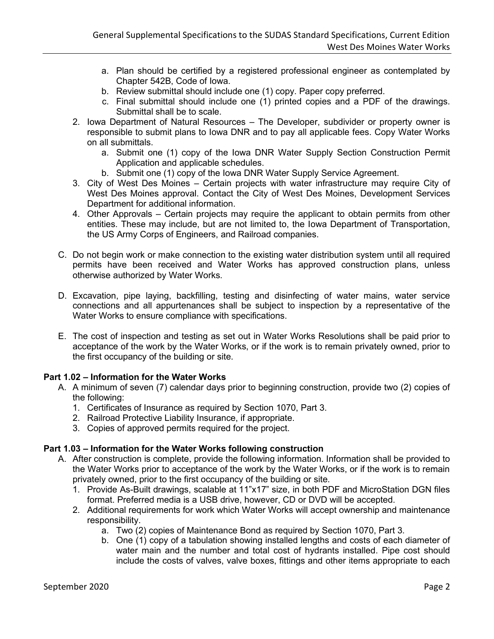- a. Plan should be certified by a registered professional engineer as contemplated by Chapter 542B, Code of Iowa.
- b. Review submittal should include one (1) copy. Paper copy preferred.
- c. Final submittal should include one (1) printed copies and a PDF of the drawings. Submittal shall be to scale.
- 2. Iowa Department of Natural Resources The Developer, subdivider or property owner is responsible to submit plans to Iowa DNR and to pay all applicable fees. Copy Water Works on all submittals.
	- a. Submit one (1) copy of the Iowa DNR Water Supply Section Construction Permit Application and applicable schedules.
	- b. Submit one (1) copy of the Iowa DNR Water Supply Service Agreement.
- 3. City of West Des Moines Certain projects with water infrastructure may require City of West Des Moines approval. Contact the City of West Des Moines, Development Services Department for additional information.
- 4. Other Approvals Certain projects may require the applicant to obtain permits from other entities. These may include, but are not limited to, the Iowa Department of Transportation, the US Army Corps of Engineers, and Railroad companies.
- C. Do not begin work or make connection to the existing water distribution system until all required permits have been received and Water Works has approved construction plans, unless otherwise authorized by Water Works.
- D. Excavation, pipe laying, backfilling, testing and disinfecting of water mains, water service connections and all appurtenances shall be subject to inspection by a representative of the Water Works to ensure compliance with specifications.
- E. The cost of inspection and testing as set out in Water Works Resolutions shall be paid prior to acceptance of the work by the Water Works, or if the work is to remain privately owned, prior to the first occupancy of the building or site.

# **Part 1.02 – Information for the Water Works**

- A. A minimum of seven (7) calendar days prior to beginning construction, provide two (2) copies of the following:
	- 1. Certificates of Insurance as required by Section 1070, Part 3.
	- 2. Railroad Protective Liability Insurance, if appropriate.
	- 3. Copies of approved permits required for the project.

### **Part 1.03 – Information for the Water Works following construction**

- A. After construction is complete, provide the following information. Information shall be provided to the Water Works prior to acceptance of the work by the Water Works, or if the work is to remain privately owned, prior to the first occupancy of the building or site.
	- 1. Provide As-Built drawings, scalable at 11"x17" size, in both PDF and MicroStation DGN files format. Preferred media is a USB drive, however, CD or DVD will be accepted.
	- 2. Additional requirements for work which Water Works will accept ownership and maintenance responsibility.
		- a. Two (2) copies of Maintenance Bond as required by Section 1070, Part 3.
		- b. One (1) copy of a tabulation showing installed lengths and costs of each diameter of water main and the number and total cost of hydrants installed. Pipe cost should include the costs of valves, valve boxes, fittings and other items appropriate to each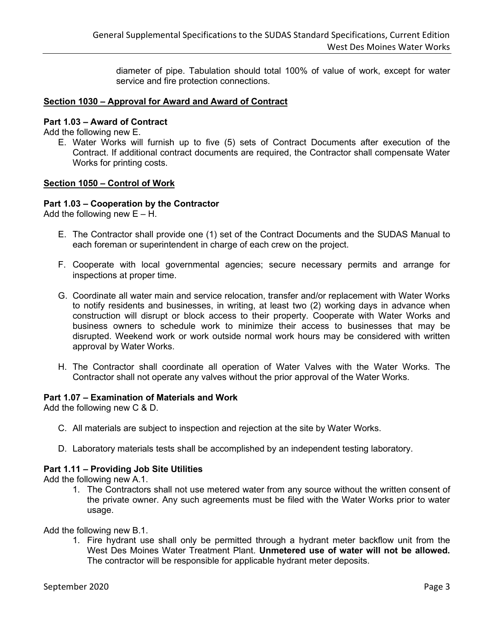diameter of pipe. Tabulation should total 100% of value of work, except for water service and fire protection connections.

### **Section 1030 – Approval for Award and Award of Contract**

### **Part 1.03 – Award of Contract**

Add the following new E.

E. Water Works will furnish up to five (5) sets of Contract Documents after execution of the Contract. If additional contract documents are required, the Contractor shall compensate Water Works for printing costs.

### **Section 1050 – Control of Work**

### **Part 1.03 – Cooperation by the Contractor**

Add the following new  $E - H$ .

- E. The Contractor shall provide one (1) set of the Contract Documents and the SUDAS Manual to each foreman or superintendent in charge of each crew on the project.
- F. Cooperate with local governmental agencies; secure necessary permits and arrange for inspections at proper time.
- G. Coordinate all water main and service relocation, transfer and/or replacement with Water Works to notify residents and businesses, in writing, at least two (2) working days in advance when construction will disrupt or block access to their property. Cooperate with Water Works and business owners to schedule work to minimize their access to businesses that may be disrupted. Weekend work or work outside normal work hours may be considered with written approval by Water Works.
- H. The Contractor shall coordinate all operation of Water Valves with the Water Works. The Contractor shall not operate any valves without the prior approval of the Water Works.

#### **Part 1.07 – Examination of Materials and Work**

Add the following new C & D.

- C. All materials are subject to inspection and rejection at the site by Water Works.
- D. Laboratory materials tests shall be accomplished by an independent testing laboratory.

### **Part 1.11 – Providing Job Site Utilities**

Add the following new A.1.

1. The Contractors shall not use metered water from any source without the written consent of the private owner. Any such agreements must be filed with the Water Works prior to water usage.

Add the following new B.1.

1. Fire hydrant use shall only be permitted through a hydrant meter backflow unit from the West Des Moines Water Treatment Plant. **Unmetered use of water will not be allowed.** The contractor will be responsible for applicable hydrant meter deposits.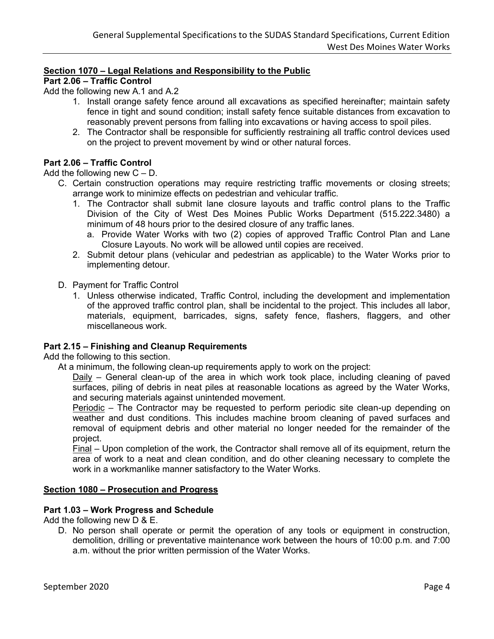### **Section 1070 – Legal Relations and Responsibility to the Public**

# **Part 2.06 – Traffic Control**

Add the following new A.1 and A.2

- 1. Install orange safety fence around all excavations as specified hereinafter; maintain safety fence in tight and sound condition; install safety fence suitable distances from excavation to reasonably prevent persons from falling into excavations or having access to spoil piles.
- 2. The Contractor shall be responsible for sufficiently restraining all traffic control devices used on the project to prevent movement by wind or other natural forces.

### **Part 2.06 – Traffic Control**

Add the following new  $C - D$ .

- C. Certain construction operations may require restricting traffic movements or closing streets; arrange work to minimize effects on pedestrian and vehicular traffic.
	- 1. The Contractor shall submit lane closure layouts and traffic control plans to the Traffic Division of the City of West Des Moines Public Works Department (515.222.3480) a minimum of 48 hours prior to the desired closure of any traffic lanes.
		- a. Provide Water Works with two (2) copies of approved Traffic Control Plan and Lane Closure Layouts. No work will be allowed until copies are received.
	- 2. Submit detour plans (vehicular and pedestrian as applicable) to the Water Works prior to implementing detour.
- D. Payment for Traffic Control
	- 1. Unless otherwise indicated, Traffic Control, including the development and implementation of the approved traffic control plan, shall be incidental to the project. This includes all labor, materials, equipment, barricades, signs, safety fence, flashers, flaggers, and other miscellaneous work.

### **Part 2.15 – Finishing and Cleanup Requirements**

Add the following to this section.

At a minimum, the following clean-up requirements apply to work on the project:

Daily – General clean-up of the area in which work took place, including cleaning of paved surfaces, piling of debris in neat piles at reasonable locations as agreed by the Water Works, and securing materials against unintended movement.

Periodic – The Contractor may be requested to perform periodic site clean-up depending on weather and dust conditions. This includes machine broom cleaning of paved surfaces and removal of equipment debris and other material no longer needed for the remainder of the project.

Final – Upon completion of the work, the Contractor shall remove all of its equipment, return the area of work to a neat and clean condition, and do other cleaning necessary to complete the work in a workmanlike manner satisfactory to the Water Works.

### **Section 1080 – Prosecution and Progress**

### **Part 1.03 – Work Progress and Schedule**

Add the following new D & E.

D. No person shall operate or permit the operation of any tools or equipment in construction, demolition, drilling or preventative maintenance work between the hours of 10:00 p.m. and 7:00 a.m. without the prior written permission of the Water Works.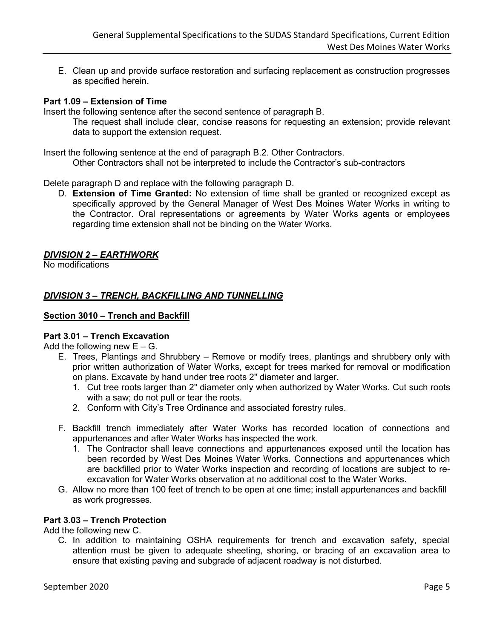E. Clean up and provide surface restoration and surfacing replacement as construction progresses as specified herein.

### **Part 1.09 – Extension of Time**

Insert the following sentence after the second sentence of paragraph B.

The request shall include clear, concise reasons for requesting an extension; provide relevant data to support the extension request.

Insert the following sentence at the end of paragraph B.2. Other Contractors.

Other Contractors shall not be interpreted to include the Contractor's sub-contractors

Delete paragraph D and replace with the following paragraph D.

D. **Extension of Time Granted:** No extension of time shall be granted or recognized except as specifically approved by the General Manager of West Des Moines Water Works in writing to the Contractor. Oral representations or agreements by Water Works agents or employees regarding time extension shall not be binding on the Water Works.

### *DIVISION 2 – EARTHWORK*

No modifications

### *DIVISION 3 – TRENCH, BACKFILLING AND TUNNELLING*

### **Section 3010 – Trench and Backfill**

### **Part 3.01 – Trench Excavation**

Add the following new  $E - G$ .

- E. Trees, Plantings and Shrubbery Remove or modify trees, plantings and shrubbery only with prior written authorization of Water Works, except for trees marked for removal or modification on plans. Excavate by hand under tree roots 2" diameter and larger.
	- 1. Cut tree roots larger than 2" diameter only when authorized by Water Works. Cut such roots with a saw; do not pull or tear the roots.
	- 2. Conform with City's Tree Ordinance and associated forestry rules.
- F. Backfill trench immediately after Water Works has recorded location of connections and appurtenances and after Water Works has inspected the work.
	- 1. The Contractor shall leave connections and appurtenances exposed until the location has been recorded by West Des Moines Water Works. Connections and appurtenances which are backfilled prior to Water Works inspection and recording of locations are subject to reexcavation for Water Works observation at no additional cost to the Water Works.
- G. Allow no more than 100 feet of trench to be open at one time; install appurtenances and backfill as work progresses.

### **Part 3.03 – Trench Protection**

Add the following new C.

C. In addition to maintaining OSHA requirements for trench and excavation safety, special attention must be given to adequate sheeting, shoring, or bracing of an excavation area to ensure that existing paving and subgrade of adjacent roadway is not disturbed.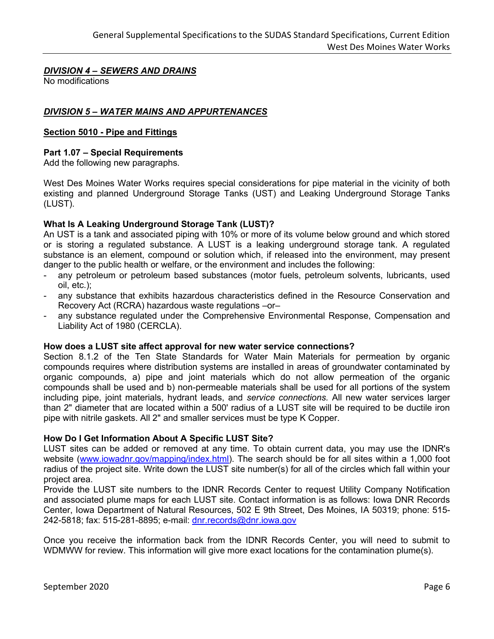# *DIVISION 4 – SEWERS AND DRAINS*

No modifications

## *DIVISION 5 – WATER MAINS AND APPURTENANCES*

### **Section 5010 - Pipe and Fittings**

### **Part 1.07 – Special Requirements**

Add the following new paragraphs.

West Des Moines Water Works requires special considerations for pipe material in the vicinity of both existing and planned Underground Storage Tanks (UST) and Leaking Underground Storage Tanks (LUST).

### **What Is A Leaking Underground Storage Tank (LUST)?**

An UST is a tank and associated piping with 10% or more of its volume below ground and which stored or is storing a regulated substance. A LUST is a leaking underground storage tank. A regulated substance is an element, compound or solution which, if released into the environment, may present danger to the public health or welfare, or the environment and includes the following:

- any petroleum or petroleum based substances (motor fuels, petroleum solvents, lubricants, used oil, etc.);
- any substance that exhibits hazardous characteristics defined in the Resource Conservation and Recovery Act (RCRA) hazardous waste regulations –or–
- any substance regulated under the Comprehensive Environmental Response, Compensation and Liability Act of 1980 (CERCLA).

### **How does a LUST site affect approval for new water service connections?**

Section 8.1.2 of the Ten State Standards for Water Main Materials for permeation by organic compounds requires where distribution systems are installed in areas of groundwater contaminated by organic compounds, a) pipe and joint materials which do not allow permeation of the organic compounds shall be used and b) non-permeable materials shall be used for all portions of the system including pipe, joint materials, hydrant leads, and *service connections.* All new water services larger than 2" diameter that are located within a 500' radius of a LUST site will be required to be ductile iron pipe with nitrile gaskets. All 2" and smaller services must be type K Copper.

### **How Do I Get Information About A Specific LUST Site?**

LUST sites can be added or removed at any time. To obtain current data, you may use the IDNR's website [\(www.iowadnr.gov/mapping/index.html\)](http://www.iowadnr.gov/mapping/index.html). The search should be for all sites within a 1,000 foot radius of the project site. Write down the LUST site number(s) for all of the circles which fall within your project area.

Provide the LUST site numbers to the IDNR Records Center to request Utility Company Notification and associated plume maps for each LUST site. Contact information is as follows: Iowa DNR Records Center, Iowa Department of Natural Resources, 502 E 9th Street, Des Moines, IA 50319; phone: 515- 242-5818; fax: 515-281-8895; e-mail: [dnr.records@dnr.iowa.gov](mailto:dnr.records@dnr.iowa.gov)

Once you receive the information back from the IDNR Records Center, you will need to submit to WDMWW for review. This information will give more exact locations for the contamination plume(s).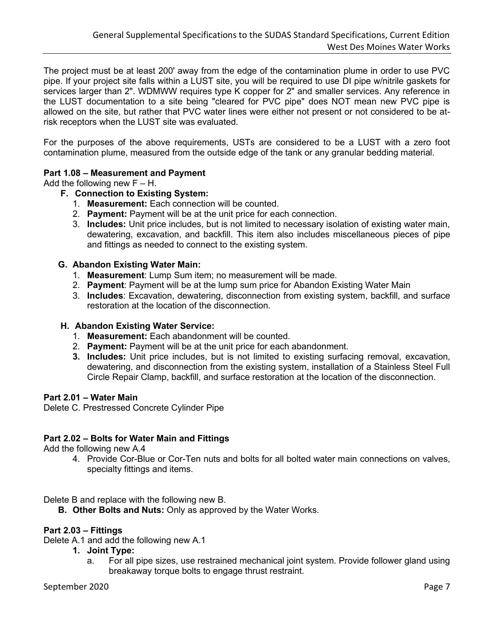The project must be at least 200' away from the edge of the contamination plume in order to use PVC pipe. If your project site falls within a LUST site, you will be required to use DI pipe w/nitrile gaskets for services larger than 2". WDMWW requires type K copper for 2" and smaller services. Any reference in the LUST documentation to a site being "cleared for PVC pipe" does NOT mean new PVC pipe is allowed on the site, but rather that PVC water lines were either not present or not considered to be atrisk receptors when the LUST site was evaluated.

For the purposes of the above requirements, USTs are considered to be a LUST with a zero foot contamination plume, measured from the outside edge of the tank or any granular bedding material.

### **Part 1.08 – Measurement and Payment**

Add the following new  $F - H$ .

# **F. Connection to Existing System:**

- 1. **Measurement:** Each connection will be counted.
- 2. **Payment:** Payment will be at the unit price for each connection.
- 3. **Includes:** Unit price includes, but is not limited to necessary isolation of existing water main, dewatering, excavation, and backfill. This item also includes miscellaneous pieces of pipe and fittings as needed to connect to the existing system.

### **G. Abandon Existing Water Main:**

- 1. **Measurement**: Lump Sum item; no measurement will be made.
- 2. **Payment**: Payment will be at the lump sum price for Abandon Existing Water Main
- 3. **Includes**: Excavation, dewatering, disconnection from existing system, backfill, and surface restoration at the location of the disconnection.

### **H. Abandon Existing Water Service:**

- 1. **Measurement:** Each abandonment will be counted.
- 2. **Payment:** Payment will be at the unit price for each abandonment.
- **3. Includes:** Unit price includes, but is not limited to existing surfacing removal, excavation, dewatering, and disconnection from the existing system, installation of a Stainless Steel Full Circle Repair Clamp, backfill, and surface restoration at the location of the disconnection.

### **Part 2.01 – Water Main**

Delete C. Prestressed Concrete Cylinder Pipe

### **Part 2.02 – Bolts for Water Main and Fittings**

Add the following new A.4

4. Provide Cor-Blue or Cor-Ten nuts and bolts for all bolted water main connections on valves, specialty fittings and items.

Delete B and replace with the following new B.

**B. Other Bolts and Nuts:** Only as approved by the Water Works.

### **Part 2.03 – Fittings**

Delete A.1 and add the following new A.1

- **1. Joint Type:** 
	- a. For all pipe sizes, use restrained mechanical joint system. Provide follower gland using breakaway torque bolts to engage thrust restraint.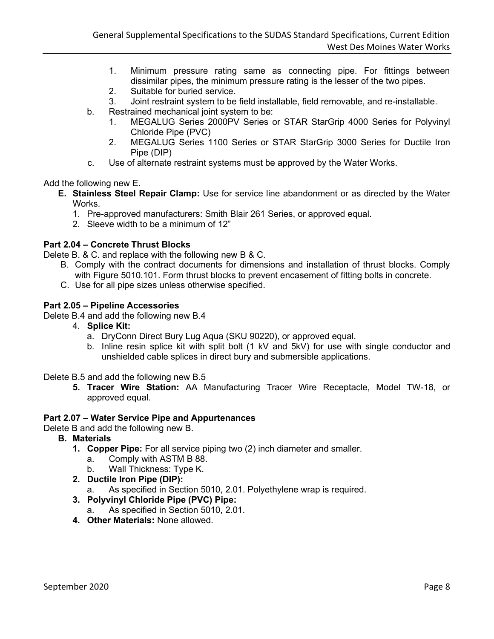- 1. Minimum pressure rating same as connecting pipe. For fittings between dissimilar pipes, the minimum pressure rating is the lesser of the two pipes.
- 2. Suitable for buried service.
- 3. Joint restraint system to be field installable, field removable, and re-installable.
- b. Restrained mechanical joint system to be:
	- 1. MEGALUG Series 2000PV Series or STAR StarGrip 4000 Series for Polyvinyl Chloride Pipe (PVC)
	- 2. MEGALUG Series 1100 Series or STAR StarGrip 3000 Series for Ductile Iron Pipe (DIP)
- c. Use of alternate restraint systems must be approved by the Water Works.

Add the following new E.

- **E. Stainless Steel Repair Clamp:** Use for service line abandonment or as directed by the Water Works.
	- 1. Pre-approved manufacturers: Smith Blair 261 Series, or approved equal.
	- 2. Sleeve width to be a minimum of 12"

# **Part 2.04 – Concrete Thrust Blocks**

Delete B. & C. and replace with the following new B & C.

- B. Comply with the contract documents for dimensions and installation of thrust blocks. Comply with Figure 5010.101. Form thrust blocks to prevent encasement of fitting bolts in concrete.
- C. Use for all pipe sizes unless otherwise specified.

### **Part 2.05 – Pipeline Accessories**

Delete B.4 and add the following new B.4

- 4. **Splice Kit:**
	- a. DryConn Direct Bury Lug Aqua (SKU 90220), or approved equal.
	- b. Inline resin splice kit with split bolt (1 kV and 5kV) for use with single conductor and unshielded cable splices in direct bury and submersible applications.

Delete B.5 and add the following new B.5

**5. Tracer Wire Station:** AA Manufacturing Tracer Wire Receptacle, Model TW-18, or approved equal.

### **Part 2.07 – Water Service Pipe and Appurtenances**

Delete B and add the following new B.

- **B. Materials** 
	- **1. Copper Pipe:** For all service piping two (2) inch diameter and smaller.
		- a. Comply with ASTM B 88.
		- b. Wall Thickness: Type K.
	- **2. Ductile Iron Pipe (DIP):** 
		- a. As specified in Section 5010, 2.01. Polyethylene wrap is required.

## **3. Polyvinyl Chloride Pipe (PVC) Pipe:**

- a. As specified in Section 5010, 2.01.
- **4. Other Materials:** None allowed.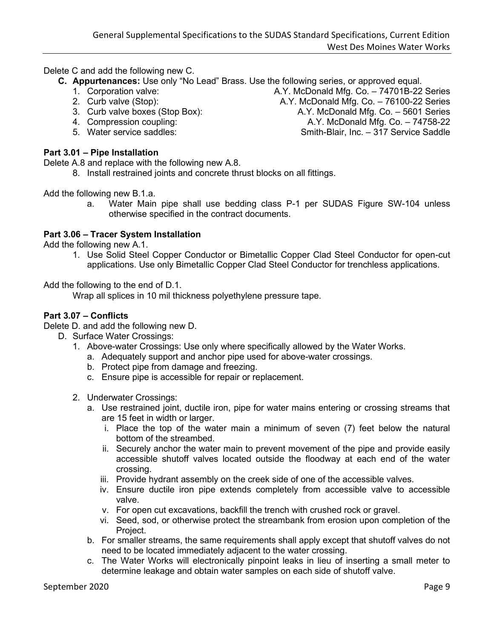Delete C and add the following new C.

- **C. Appurtenances:** Use only "No Lead" Brass. Use the following series, or approved equal.
	- 1. Corporation valve: A.Y. McDonald Mfg. Co. 74701B-22 Series
	- 2. Curb valve (Stop): A.Y. McDonald Mfg. Co. 76100-22 Series
	-
	-
	-

# **Part 3.01 – Pipe Installation**

Delete A.8 and replace with the following new A.8.

8. Install restrained joints and concrete thrust blocks on all fittings.

Add the following new B.1.a.

a. Water Main pipe shall use bedding class P-1 per SUDAS Figure SW-104 unless otherwise specified in the contract documents.

### **Part 3.06 – Tracer System Installation**

Add the following new A.1.

1. Use Solid Steel Copper Conductor or Bimetallic Copper Clad Steel Conductor for open-cut applications. Use only Bimetallic Copper Clad Steel Conductor for trenchless applications.

Add the following to the end of D.1.

Wrap all splices in 10 mil thickness polyethylene pressure tape.

### **Part 3.07 – Conflicts**

Delete D. and add the following new D.

- D. Surface Water Crossings:
	- 1. Above-water Crossings: Use only where specifically allowed by the Water Works.
		- a. Adequately support and anchor pipe used for above-water crossings.
		- b. Protect pipe from damage and freezing.
		- c. Ensure pipe is accessible for repair or replacement.
	- 2. Underwater Crossings:
		- a. Use restrained joint, ductile iron, pipe for water mains entering or crossing streams that are 15 feet in width or larger.
			- i. Place the top of the water main a minimum of seven (7) feet below the natural bottom of the streambed.
			- ii. Securely anchor the water main to prevent movement of the pipe and provide easily accessible shutoff valves located outside the floodway at each end of the water crossing.
			- iii. Provide hydrant assembly on the creek side of one of the accessible valves.
			- iv. Ensure ductile iron pipe extends completely from accessible valve to accessible valve.
			- v. For open cut excavations, backfill the trench with crushed rock or gravel.
			- vi. Seed, sod, or otherwise protect the streambank from erosion upon completion of the Project.
		- b. For smaller streams, the same requirements shall apply except that shutoff valves do not need to be located immediately adjacent to the water crossing.
		- c. The Water Works will electronically pinpoint leaks in lieu of inserting a small meter to determine leakage and obtain water samples on each side of shutoff valve.

3. Curb valve boxes (Stop Box): A.Y. McDonald Mfg. Co. – 5601 Series 4. Compression coupling: A.Y. McDonald Mfg. Co. – 74758-22 5. Water service saddles: Smith-Blair, Inc. – 317 Service Saddle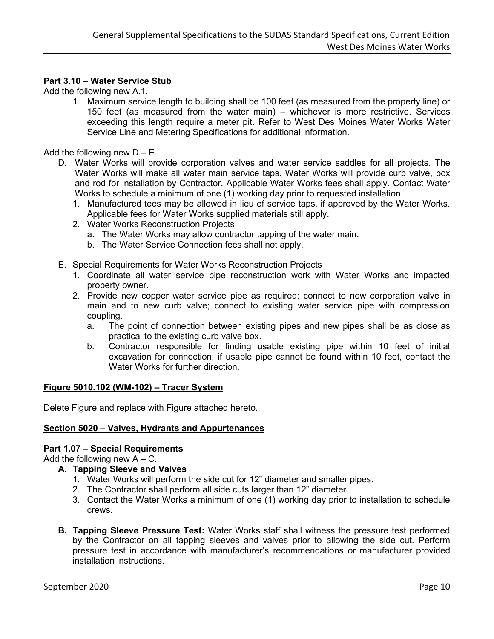### **Part 3.10 – Water Service Stub**

Add the following new A.1.

1. Maximum service length to building shall be 100 feet (as measured from the property line) or 150 feet (as measured from the water main) – whichever is more restrictive. Services exceeding this length require a meter pit. Refer to West Des Moines Water Works Water Service Line and Metering Specifications for additional information.

Add the following new  $D - E$ .

- D. Water Works will provide corporation valves and water service saddles for all projects. The Water Works will make all water main service taps. Water Works will provide curb valve, box and rod for installation by Contractor. Applicable Water Works fees shall apply. Contact Water Works to schedule a minimum of one (1) working day prior to requested installation.
	- 1. Manufactured tees may be allowed in lieu of service taps, if approved by the Water Works. Applicable fees for Water Works supplied materials still apply.
	- 2. Water Works Reconstruction Projects
		- a. The Water Works may allow contractor tapping of the water main.
		- b. The Water Service Connection fees shall not apply.
- E. Special Requirements for Water Works Reconstruction Projects
	- 1. Coordinate all water service pipe reconstruction work with Water Works and impacted property owner.
	- 2. Provide new copper water service pipe as required; connect to new corporation valve in main and to new curb valve; connect to existing water service pipe with compression coupling.
		- a. The point of connection between existing pipes and new pipes shall be as close as practical to the existing curb valve box.
		- b. Contractor responsible for finding usable existing pipe within 10 feet of initial excavation for connection; if usable pipe cannot be found within 10 feet, contact the Water Works for further direction.

### **Figure 5010.102 (WM-102) – Tracer System**

Delete Figure and replace with Figure attached hereto.

### **Section 5020 – Valves, Hydrants and Appurtenances**

### **Part 1.07 – Special Requirements**

Add the following new  $A - C$ .

- **A. Tapping Sleeve and Valves**
	- 1. Water Works will perform the side cut for 12" diameter and smaller pipes.
	- 2. The Contractor shall perform all side cuts larger than 12" diameter.
	- 3. Contact the Water Works a minimum of one (1) working day prior to installation to schedule crews.
- **B. Tapping Sleeve Pressure Test:** Water Works staff shall witness the pressure test performed by the Contractor on all tapping sleeves and valves prior to allowing the side cut. Perform pressure test in accordance with manufacturer's recommendations or manufacturer provided installation instructions.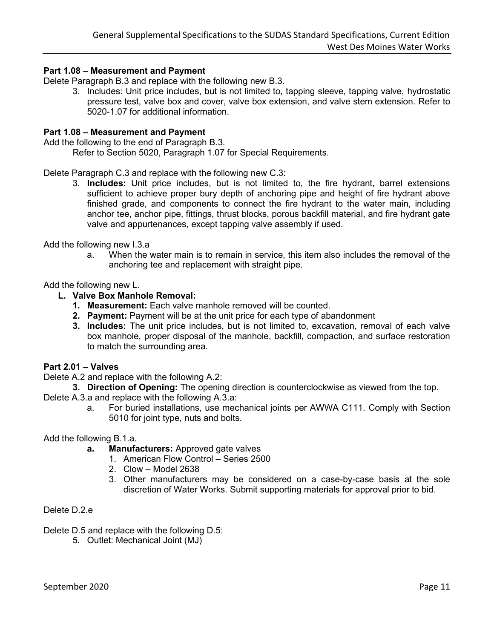### **Part 1.08 – Measurement and Payment**

Delete Paragraph B.3 and replace with the following new B.3.

3. Includes: Unit price includes, but is not limited to, tapping sleeve, tapping valve, hydrostatic pressure test, valve box and cover, valve box extension, and valve stem extension. Refer to 5020-1.07 for additional information.

### **Part 1.08 – Measurement and Payment**

Add the following to the end of Paragraph B.3.

Refer to Section 5020, Paragraph 1.07 for Special Requirements.

Delete Paragraph C.3 and replace with the following new C.3:

3. **Includes:** Unit price includes, but is not limited to, the fire hydrant, barrel extensions sufficient to achieve proper bury depth of anchoring pipe and height of fire hydrant above finished grade, and components to connect the fire hydrant to the water main, including anchor tee, anchor pipe, fittings, thrust blocks, porous backfill material, and fire hydrant gate valve and appurtenances, except tapping valve assembly if used.

Add the following new I.3.a

a. When the water main is to remain in service, this item also includes the removal of the anchoring tee and replacement with straight pipe.

Add the following new L.

### **L. Valve Box Manhole Removal:**

- **1. Measurement:** Each valve manhole removed will be counted.
- **2. Payment:** Payment will be at the unit price for each type of abandonment
- **3. Includes:** The unit price includes, but is not limited to, excavation, removal of each valve box manhole, proper disposal of the manhole, backfill, compaction, and surface restoration to match the surrounding area.

### **Part 2.01 – Valves**

- Delete A.2 and replace with the following A.2:
	- **3. Direction of Opening:** The opening direction is counterclockwise as viewed from the top.

Delete A.3.a and replace with the following A.3.a:

a. For buried installations, use mechanical joints per AWWA C111. Comply with Section 5010 for joint type, nuts and bolts.

Add the following B.1.a.

- **a. Manufacturers:** Approved gate valves
	- 1. American Flow Control Series 2500
	- 2. Clow Model 2638
	- 3. Other manufacturers may be considered on a case-by-case basis at the sole discretion of Water Works. Submit supporting materials for approval prior to bid.

Delete D.2.e

- Delete D.5 and replace with the following D.5:
	- 5. Outlet: Mechanical Joint (MJ)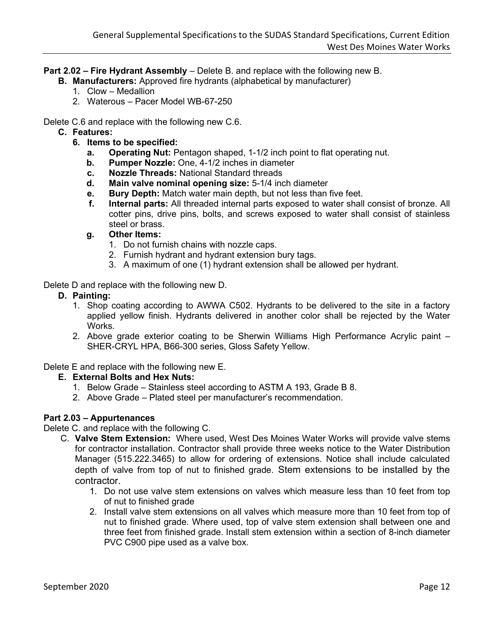**Part 2.02 – Fire Hydrant Assembly** – Delete B. and replace with the following new B.

- **B. Manufacturers:** Approved fire hydrants (alphabetical by manufacturer)
	- 1. Clow Medallion
	- 2. Waterous Pacer Model WB-67-250

Delete C.6 and replace with the following new C.6.

- **C. Features:**
	- **6. Items to be specified:**
		- **a. Operating Nut:** Pentagon shaped, 1-1/2 inch point to flat operating nut.
		- **b. Pumper Nozzle:** One, 4-1/2 inches in diameter
		- **c. Nozzle Threads:** National Standard threads
		- **d. Main valve nominal opening size:** 5-1/4 inch diameter
		- **e. Bury Depth:** Match water main depth, but not less than five feet.
		- **f. Internal parts:** All threaded internal parts exposed to water shall consist of bronze. All cotter pins, drive pins, bolts, and screws exposed to water shall consist of stainless steel or brass.
		- **g. Other Items:**
			- 1. Do not furnish chains with nozzle caps.
			- 2. Furnish hydrant and hydrant extension bury tags.
			- 3. A maximum of one (1) hydrant extension shall be allowed per hydrant.

Delete D and replace with the following new D.

- **D. Painting:**
	- 1. Shop coating according to AWWA C502. Hydrants to be delivered to the site in a factory applied yellow finish. Hydrants delivered in another color shall be rejected by the Water Works.
	- 2. Above grade exterior coating to be Sherwin Williams High Performance Acrylic paint SHER-CRYL HPA, B66-300 series, Gloss Safety Yellow.

Delete E and replace with the following new E.

### **E. External Bolts and Hex Nuts:**

- 1. Below Grade Stainless steel according to ASTM A 193, Grade B 8.
- 2. Above Grade Plated steel per manufacturer's recommendation.

### **Part 2.03 – Appurtenances**

Delete C. and replace with the following C.

- C. **Valve Stem Extension:** Where used, West Des Moines Water Works will provide valve stems for contractor installation. Contractor shall provide three weeks notice to the Water Distribution Manager (515.222.3465) to allow for ordering of extensions. Notice shall include calculated depth of valve from top of nut to finished grade. Stem extensions to be installed by the contractor.
	- 1. Do not use valve stem extensions on valves which measure less than 10 feet from top of nut to finished grade
	- 2. Install valve stem extensions on all valves which measure more than 10 feet from top of nut to finished grade. Where used, top of valve stem extension shall between one and three feet from finished grade. Install stem extension within a section of 8-inch diameter PVC C900 pipe used as a valve box.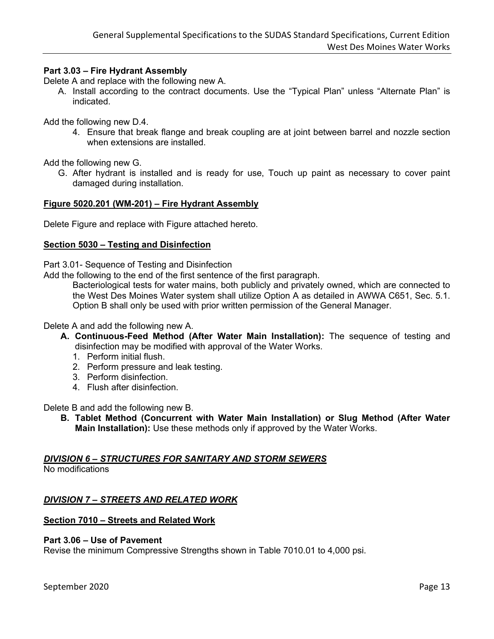### **Part 3.03 – Fire Hydrant Assembly**

Delete A and replace with the following new A.

A. Install according to the contract documents. Use the "Typical Plan" unless "Alternate Plan" is indicated.

Add the following new D.4.

4. Ensure that break flange and break coupling are at joint between barrel and nozzle section when extensions are installed.

Add the following new G.

G. After hydrant is installed and is ready for use, Touch up paint as necessary to cover paint damaged during installation.

#### **Figure 5020.201 (WM-201) – Fire Hydrant Assembly**

Delete Figure and replace with Figure attached hereto.

#### **Section 5030 – Testing and Disinfection**

Part 3.01- Sequence of Testing and Disinfection

Add the following to the end of the first sentence of the first paragraph.

Bacteriological tests for water mains, both publicly and privately owned, which are connected to the West Des Moines Water system shall utilize Option A as detailed in AWWA C651, Sec. 5.1. Option B shall only be used with prior written permission of the General Manager.

Delete A and add the following new A.

- **A. Continuous-Feed Method (After Water Main Installation):** The sequence of testing and disinfection may be modified with approval of the Water Works.
	- 1. Perform initial flush.
	- 2. Perform pressure and leak testing.
	- 3. Perform disinfection.
	- 4. Flush after disinfection.

Delete B and add the following new B.

**B. Tablet Method (Concurrent with Water Main Installation) or Slug Method (After Water Main Installation):** Use these methods only if approved by the Water Works.

### *DIVISION 6 – STRUCTURES FOR SANITARY AND STORM SEWERS*

No modifications

### *DIVISION 7 – STREETS AND RELATED WORK*

### **Section 7010 – Streets and Related Work**

#### **Part 3.06 – Use of Pavement**

Revise the minimum Compressive Strengths shown in Table 7010.01 to 4,000 psi.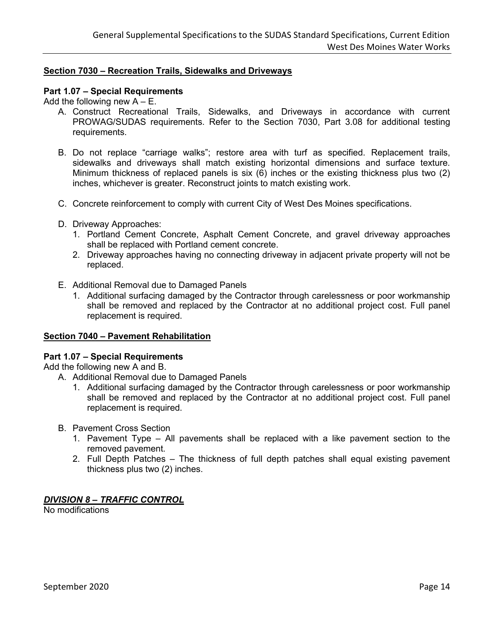### **Section 7030 – Recreation Trails, Sidewalks and Driveways**

### **Part 1.07 – Special Requirements**

Add the following new  $A - E$ .

- A. Construct Recreational Trails, Sidewalks, and Driveways in accordance with current PROWAG/SUDAS requirements. Refer to the Section 7030, Part 3.08 for additional testing requirements.
- B. Do not replace "carriage walks"; restore area with turf as specified. Replacement trails, sidewalks and driveways shall match existing horizontal dimensions and surface texture. Minimum thickness of replaced panels is six (6) inches or the existing thickness plus two (2) inches, whichever is greater. Reconstruct joints to match existing work.
- C. Concrete reinforcement to comply with current City of West Des Moines specifications.
- D. Driveway Approaches:
	- 1. Portland Cement Concrete, Asphalt Cement Concrete, and gravel driveway approaches shall be replaced with Portland cement concrete.
	- 2. Driveway approaches having no connecting driveway in adjacent private property will not be replaced.
- E. Additional Removal due to Damaged Panels
	- 1. Additional surfacing damaged by the Contractor through carelessness or poor workmanship shall be removed and replaced by the Contractor at no additional project cost. Full panel replacement is required.

### **Section 7040 – Pavement Rehabilitation**

### **Part 1.07 – Special Requirements**

Add the following new A and B.

- A. Additional Removal due to Damaged Panels
	- 1. Additional surfacing damaged by the Contractor through carelessness or poor workmanship shall be removed and replaced by the Contractor at no additional project cost. Full panel replacement is required.
- B. Pavement Cross Section
	- 1. Pavement Type All pavements shall be replaced with a like pavement section to the removed pavement.
	- 2. Full Depth Patches The thickness of full depth patches shall equal existing pavement thickness plus two (2) inches.

### *DIVISION 8 – TRAFFIC CONTROL*

No modifications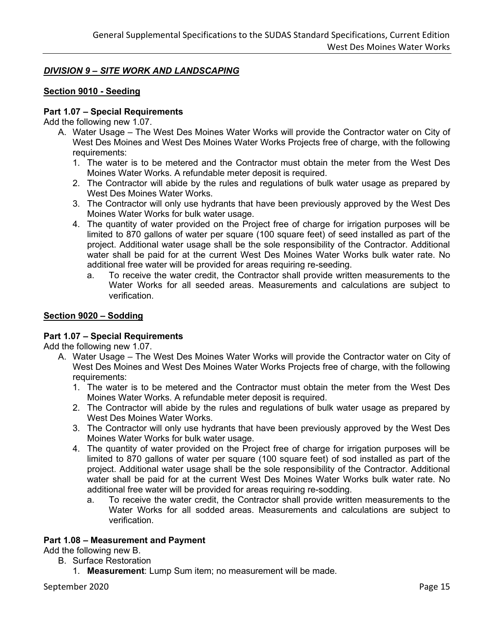# *DIVISION 9 – SITE WORK AND LANDSCAPING*

### **Section 9010 - Seeding**

### **Part 1.07 – Special Requirements**

Add the following new 1.07.

- A. Water Usage The West Des Moines Water Works will provide the Contractor water on City of West Des Moines and West Des Moines Water Works Projects free of charge, with the following requirements:
	- 1. The water is to be metered and the Contractor must obtain the meter from the West Des Moines Water Works. A refundable meter deposit is required.
	- 2. The Contractor will abide by the rules and regulations of bulk water usage as prepared by West Des Moines Water Works.
	- 3. The Contractor will only use hydrants that have been previously approved by the West Des Moines Water Works for bulk water usage.
	- 4. The quantity of water provided on the Project free of charge for irrigation purposes will be limited to 870 gallons of water per square (100 square feet) of seed installed as part of the project. Additional water usage shall be the sole responsibility of the Contractor. Additional water shall be paid for at the current West Des Moines Water Works bulk water rate. No additional free water will be provided for areas requiring re-seeding.
		- a. To receive the water credit, the Contractor shall provide written measurements to the Water Works for all seeded areas. Measurements and calculations are subject to verification.

### **Section 9020 – Sodding**

### **Part 1.07 – Special Requirements**

Add the following new 1.07.

- A. Water Usage The West Des Moines Water Works will provide the Contractor water on City of West Des Moines and West Des Moines Water Works Projects free of charge, with the following requirements:
	- 1. The water is to be metered and the Contractor must obtain the meter from the West Des Moines Water Works. A refundable meter deposit is required.
	- 2. The Contractor will abide by the rules and regulations of bulk water usage as prepared by West Des Moines Water Works.
	- 3. The Contractor will only use hydrants that have been previously approved by the West Des Moines Water Works for bulk water usage.
	- 4. The quantity of water provided on the Project free of charge for irrigation purposes will be limited to 870 gallons of water per square (100 square feet) of sod installed as part of the project. Additional water usage shall be the sole responsibility of the Contractor. Additional water shall be paid for at the current West Des Moines Water Works bulk water rate. No additional free water will be provided for areas requiring re-sodding.
		- a. To receive the water credit, the Contractor shall provide written measurements to the Water Works for all sodded areas. Measurements and calculations are subject to verification.

### **Part 1.08 – Measurement and Payment**

Add the following new B.

- B. Surface Restoration
	- 1. **Measurement**: Lump Sum item; no measurement will be made.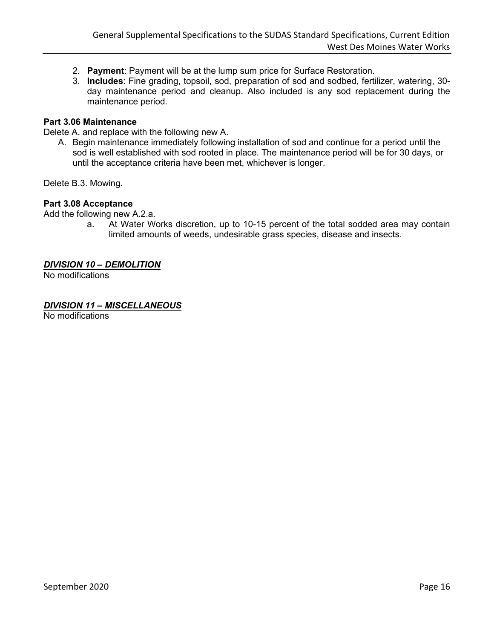- 2. **Payment**: Payment will be at the lump sum price for Surface Restoration.
- 3. **Includes**: Fine grading, topsoil, sod, preparation of sod and sodbed, fertilizer, watering, 30 day maintenance period and cleanup. Also included is any sod replacement during the maintenance period.

### **Part 3.06 Maintenance**

Delete A. and replace with the following new A.

A. Begin maintenance immediately following installation of sod and continue for a period until the sod is well established with sod rooted in place. The maintenance period will be for 30 days, or until the acceptance criteria have been met, whichever is longer.

Delete B.3. Mowing.

#### **Part 3.08 Acceptance**

Add the following new A.2.a.

a. At Water Works discretion, up to 10-15 percent of the total sodded area may contain limited amounts of weeds, undesirable grass species, disease and insects.

#### *DIVISION 10 – DEMOLITION*

No modifications

### *DIVISION 11 – MISCELLANEOUS*

No modifications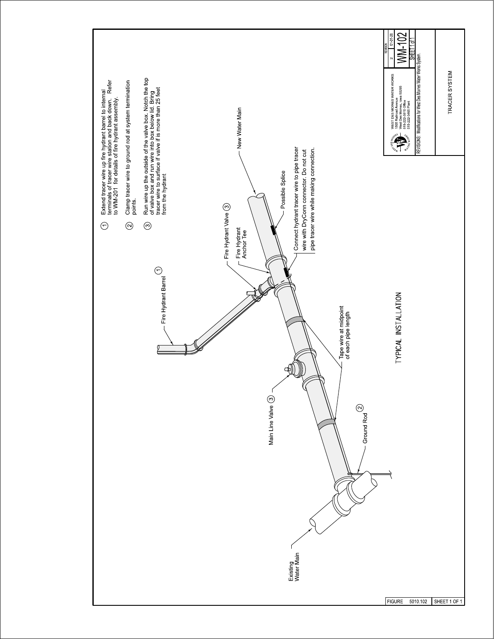